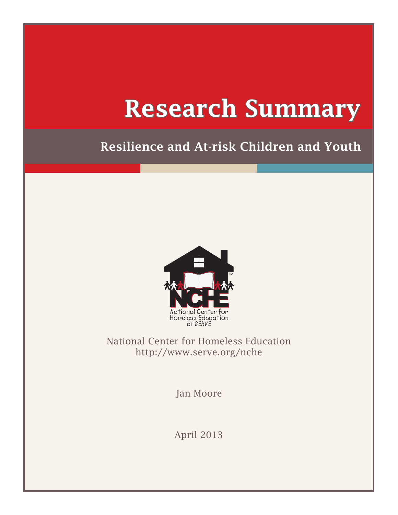# Research Summary

# Resilience and At-risk Children and Youth



National Center for Homeless Education [http://www.serve.org/nche](http://www.serve.org/nche
)

Jan Moore

April 2013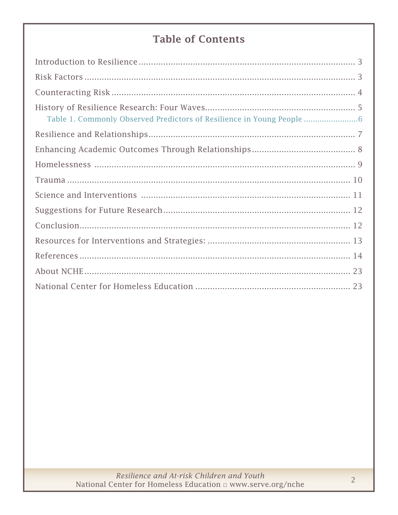# **Table of Contents**

| Table 1. Commonly Observed Predictors of Resilience in Young People |
|---------------------------------------------------------------------|
|                                                                     |
|                                                                     |
|                                                                     |
|                                                                     |
|                                                                     |
|                                                                     |
|                                                                     |
|                                                                     |
|                                                                     |
|                                                                     |
|                                                                     |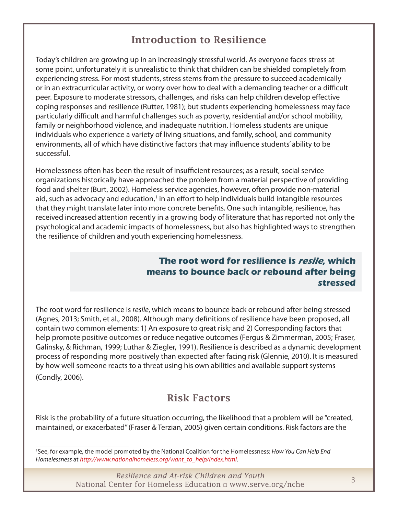## Introduction to Resilience

<span id="page-2-0"></span>Today's children are growing up in an increasingly stressful world. As everyone faces stress at some point, unfortunately it is unrealistic to think that children can be shielded completely from experiencing stress. For most students, stress stems from the pressure to succeed academically or in an extracurricular activity, or worry over how to deal with a demanding teacher or a difficult peer. Exposure to moderate stressors, challenges, and risks can help children develop effective coping responses and resilience (Rutter, 1981); but students experiencing homelessness may face particularly difficult and harmful challenges such as poverty, residential and/or school mobility, family or neighborhood violence, and inadequate nutrition. Homeless students are unique individuals who experience a variety of living situations, and family, school, and community environments, all of which have distinctive factors that may influence students' ability to be successful.

Homelessness often has been the result of insufficient resources; as a result, social service organizations historically have approached the problem from a material perspective of providing food and shelter (Burt, 2002). Homeless service agencies, however, often provide non-material aid, such as advocacy and education,<sup>1</sup> in an effort to help individuals build intangible resources that they might translate later into more concrete benefits. One such intangible, resilience, has received increased attention recently in a growing body of literature that has reported not only the psychological and academic impacts of homelessness, but also has highlighted ways to strengthen the resilience of children and youth experiencing homelessness.

#### **The root word for resilience is resile, which means to bounce back or rebound after being stressed**

The root word for resilience is *resile*, which means to bounce back or rebound after being stressed (Agnes, 2013; Smith, et al., 2008). Although many definitions of resilience have been proposed, all contain two common elements: 1) An exposure to great risk; and 2) Corresponding factors that help promote positive outcomes or reduce negative outcomes (Fergus & Zimmerman, 2005; Fraser, Galinsky, & Richman, 1999; Luthar & Ziegler, 1991). Resilience is described as a dynamic development process of responding more positively than expected after facing risk (Glennie, 2010). It is measured by how well someone reacts to a threat using his own abilities and available support systems (Condly, 2006).

#### Risk Factors

Risk is the probability of a future situation occurring, the likelihood that a problem will be "created, maintained, or exacerbated" (Fraser & Terzian, 2005) given certain conditions. Risk factors are the

1 See, for example, the model promoted by the National Coalition for the Homelessness: *How You Can Help End Homelessness* at *[http://www.nationalhomeless.org/want\\_to\\_help/index.html](http://www.nationalhomeless.org/want_to_help/index.html)*.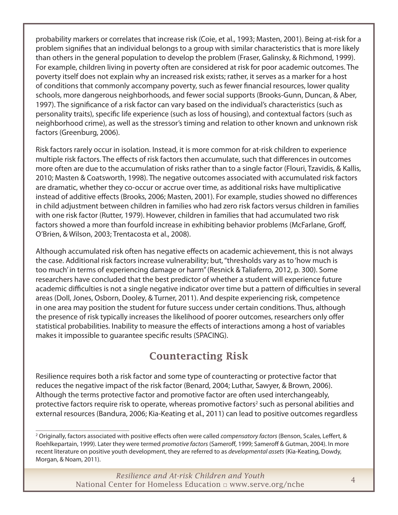<span id="page-3-0"></span>probability markers or correlates that increase risk (Coie, et al., 1993; Masten, 2001). Being at-risk for a problem signifies that an individual belongs to a group with similar characteristics that is more likely than others in the general population to develop the problem (Fraser, Galinsky, & Richmond, 1999). For example, children living in poverty often are considered at risk for poor academic outcomes. The poverty itself does not explain why an increased risk exists; rather, it serves as a marker for a host of conditions that commonly accompany poverty, such as fewer financial resources, lower quality schools, more dangerous neighborhoods, and fewer social supports (Brooks-Gunn, Duncan, & Aber, 1997). The significance of a risk factor can vary based on the individual's characteristics (such as personality traits), specific life experience (such as loss of housing), and contextual factors (such as neighborhood crime), as well as the stressor's timing and relation to other known and unknown risk factors (Greenburg, 2006).

Risk factors rarely occur in isolation. Instead, it is more common for at-risk children to experience multiple risk factors. The effects of risk factors then accumulate, such that differences in outcomes more often are due to the accumulation of risks rather than to a single factor (Flouri, Tzavidis, & Kallis, 2010; Masten & Coatsworth, 1998). The negative outcomes associated with accumulated risk factors are dramatic, whether they co-occur or accrue over time, as additional risks have multiplicative instead of additive effects (Brooks, 2006; Masten, 2001). For example, studies showed no differences in child adjustment between children in families who had zero risk factors versus children in families with one risk factor (Rutter, 1979). However, children in families that had accumulated two risk factors showed a more than fourfold increase in exhibiting behavior problems (McFarlane, Groff, O'Brien, & Wilson, 2003; Trentacosta et al., 2008).

Although accumulated risk often has negative effects on academic achievement, this is not always the case. Additional risk factors increase vulnerability; but, "thresholds vary as to 'how much is too much' in terms of experiencing damage or harm" (Resnick & Taliaferro, 2012, p. 300). Some researchers have concluded that the best predictor of whether a student will experience future academic difficulties is not a single negative indicator over time but a pattern of difficulties in several areas (Doll, Jones, Osborn, Dooley, & Turner, 2011). And despite experiencing risk, competence in one area may position the student for future success under certain conditions. Thus, although the presence of risk typically increases the likelihood of poorer outcomes, researchers only offer statistical probabilities. Inability to measure the effects of interactions among a host of variables makes it impossible to guarantee specific results (SPACING).

## Counteracting Risk

Resilience requires both a risk factor and some type of counteracting or protective factor that reduces the negative impact of the risk factor (Benard, 2004; Luthar, Sawyer, & Brown, 2006). Although the terms protective factor and promotive factor are often used interchangeably, protective factors require risk to operate, whereas promotive factors<sup>2</sup> such as personal abilities and external resources (Bandura, 2006; Kia-Keating et al., 2011) can lead to positive outcomes regardless

<sup>2</sup> Originally, factors associated with positive effects often were called *compensatory factors* (Benson, Scales, Leffert, & Roehlkepartain, 1999). Later they were termed *promotive factors* (Sameroff, 1999; Sameroff & Gutman, 2004). In more recent literature on positive youth development, they are referred to as *developmental assets* (Kia-Keating, Dowdy, Morgan, & Noam, 2011).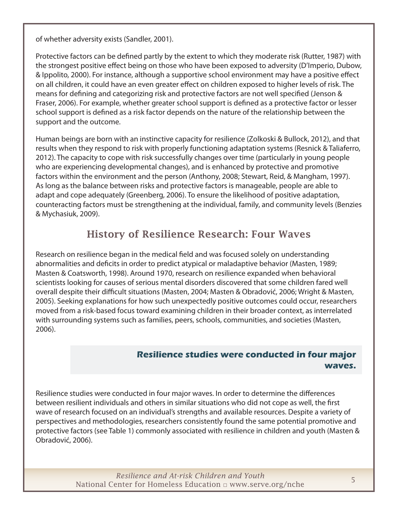<span id="page-4-0"></span>of whether adversity exists (Sandler, 2001).

Protective factors can be defined partly by the extent to which they moderate risk (Rutter, 1987) with the strongest positive effect being on those who have been exposed to adversity (D'Imperio, Dubow, & Ippolito, 2000). For instance, although a supportive school environment may have a positive effect on all children, it could have an even greater effect on children exposed to higher levels of risk. The means for defining and categorizing risk and protective factors are not well specified (Jenson & Fraser, 2006). For example, whether greater school support is defined as a protective factor or lesser school support is defined as a risk factor depends on the nature of the relationship between the support and the outcome.

Human beings are born with an instinctive capacity for resilience (Zolkoski & Bullock, 2012), and that results when they respond to risk with properly functioning adaptation systems (Resnick & Taliaferro, 2012). The capacity to cope with risk successfully changes over time (particularly in young people who are experiencing developmental changes), and is enhanced by protective and promotive factors within the environment and the person (Anthony, 2008; Stewart, Reid, & Mangham, 1997). As long as the balance between risks and protective factors is manageable, people are able to adapt and cope adequately (Greenberg, 2006). To ensure the likelihood of positive adaptation, counteracting factors must be strengthening at the individual, family, and community levels (Benzies & Mychasiuk, 2009).

#### History of Resilience Research: Four Waves

Research on resilience began in the medical field and was focused solely on understanding abnormalities and deficits in order to predict atypical or maladaptive behavior (Masten, 1989; Masten & Coatsworth, 1998). Around 1970, research on resilience expanded when behavioral scientists looking for causes of serious mental disorders discovered that some children fared well overall despite their difficult situations (Masten, 2004; Masten & Obradović, 2006; Wright & Masten, 2005). Seeking explanations for how such unexpectedly positive outcomes could occur, researchers moved from a risk-based focus toward examining children in their broader context, as interrelated with surrounding systems such as families, peers, schools, communities, and societies (Masten, 2006).

#### **Resilience studies were conducted in four major waves.**

Resilience studies were conducted in four major waves. In order to determine the differences between resilient individuals and others in similar situations who did not cope as well, the first wave of research focused on an individual's strengths and available resources. Despite a variety of perspectives and methodologies, researchers consistently found the same potential promotive and protective factors (see Table 1) commonly associated with resilience in children and youth (Masten & Obradović, 2006).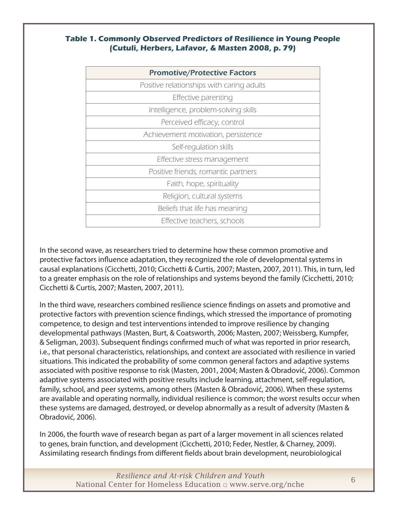#### <span id="page-5-0"></span>**Table 1. Commonly Observed Predictors of Resilience in Young People (Cutuli, Herbers, Lafavor, & Masten 2008, p. 79)**

| <b>Promotive/Protective Factors</b>       |
|-------------------------------------------|
| Positive relationships with caring adults |
| Effective parenting                       |
| Intelligence, problem-solving skills      |
| Perceived efficacy, control               |
| Achievement motivation, persistence       |
| Self-regulation skills                    |
| Effective stress management               |
| Positive friends, romantic partners       |
| Faith, hope, spirituality                 |
| Religion, cultural systems                |
| Beliefs that life has meaning             |
| Effective teachers, schools               |

In the second wave, as researchers tried to determine how these common promotive and protective factors influence adaptation, they recognized the role of developmental systems in causal explanations (Cicchetti, 2010; Cicchetti & Curtis, 2007; Masten, 2007, 2011). This, in turn, led to a greater emphasis on the role of relationships and systems beyond the family (Cicchetti, 2010; Cicchetti & Curtis, 2007; Masten, 2007, 2011).

In the third wave, researchers combined resilience science findings on assets and promotive and protective factors with prevention science findings, which stressed the importance of promoting competence, to design and test interventions intended to improve resilience by changing developmental pathways (Masten, Burt, & Coatsworth, 2006; Masten, 2007; Weissberg, Kumpfer, & Seligman, 2003). Subsequent findings confirmed much of what was reported in prior research, i.e., that personal characteristics, relationships, and context are associated with resilience in varied situations. This indicated the probability of some common general factors and adaptive systems associated with positive response to risk (Masten, 2001, 2004; Masten & Obradović, 2006). Common adaptive systems associated with positive results include learning, attachment, self-regulation, family, school, and peer systems, among others (Masten & Obradović, 2006). When these systems are available and operating normally, individual resilience is common; the worst results occur when these systems are damaged, destroyed, or develop abnormally as a result of adversity (Masten & Obradović, 2006).

In 2006, the fourth wave of research began as part of a larger movement in all sciences related to genes, brain function, and development (Cicchetti, 2010; Feder, Nestler, & Charney, 2009). Assimilating research findings from different fields about brain development, neurobiological

> *Resilience and At-risk Children and Youth* National Center for Homeless Education □ [www.serve.org/nche](http://www.serve.org/nche) <sup>6</sup>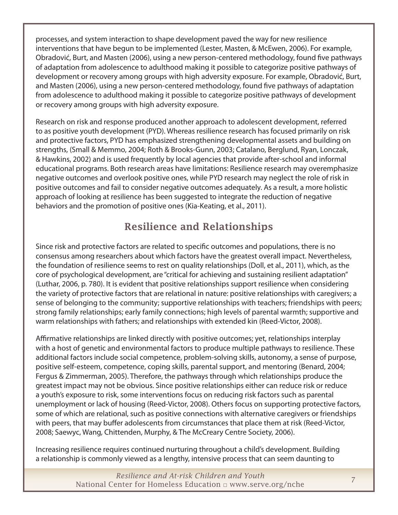<span id="page-6-0"></span>processes, and system interaction to shape development paved the way for new resilience interventions that have begun to be implemented (Lester, Masten, & McEwen, 2006). For example, Obradović, Burt, and Masten (2006), using a new person-centered methodology, found five pathways of adaptation from adolescence to adulthood making it possible to categorize positive pathways of development or recovery among groups with high adversity exposure. For example, Obradović, Burt, and Masten (2006), using a new person-centered methodology, found five pathways of adaptation from adolescence to adulthood making it possible to categorize positive pathways of development or recovery among groups with high adversity exposure.

Research on risk and response produced another approach to adolescent development, referred to as positive youth development (PYD). Whereas resilience research has focused primarily on risk and protective factors, PYD has emphasized strengthening developmental assets and building on strengths, (Small & Memmo, 2004; Roth & Brooks-Gunn, 2003; Catalano, Berglund, Ryan, Lonczak, & Hawkins, 2002) and is used frequently by local agencies that provide after-school and informal educational programs. Both research areas have limitations: Resilience research may overemphasize negative outcomes and overlook positive ones, while PYD research may neglect the role of risk in positive outcomes and fail to consider negative outcomes adequately. As a result, a more holistic approach of looking at resilience has been suggested to integrate the reduction of negative behaviors and the promotion of positive ones (Kia-Keating, et al., 2011).

## Resilience and Relationships

Since risk and protective factors are related to specific outcomes and populations, there is no consensus among researchers about which factors have the greatest overall impact. Nevertheless, the foundation of resilience seems to rest on quality relationships (Doll, et al., 2011), which, as the core of psychological development, are "critical for achieving and sustaining resilient adaptation" (Luthar, 2006, p. 780). It is evident that positive relationships support resilience when considering the variety of protective factors that are relational in nature: positive relationships with caregivers; a sense of belonging to the community; supportive relationships with teachers; friendships with peers; strong family relationships; early family connections; high levels of parental warmth; supportive and warm relationships with fathers; and relationships with extended kin (Reed-Victor, 2008).

Affirmative relationships are linked directly with positive outcomes; yet, relationships interplay with a host of genetic and environmental factors to produce multiple pathways to resilience. These additional factors include social competence, problem-solving skills, autonomy, a sense of purpose, positive self-esteem, competence, coping skills, parental support, and mentoring (Benard, 2004; Fergus & Zimmerman, 2005). Therefore, the pathways through which relationships produce the greatest impact may not be obvious. Since positive relationships either can reduce risk or reduce a youth's exposure to risk, some interventions focus on reducing risk factors such as parental unemployment or lack of housing (Reed-Victor, 2008). Others focus on supporting protective factors, some of which are relational, such as positive connections with alternative caregivers or friendships with peers, that may buffer adolescents from circumstances that place them at risk (Reed-Victor, 2008; Saewyc, Wang, Chittenden, Murphy, & The McCreary Centre Society, 2006).

Increasing resilience requires continued nurturing throughout a child's development. Building a relationship is commonly viewed as a lengthy, intensive process that can seem daunting to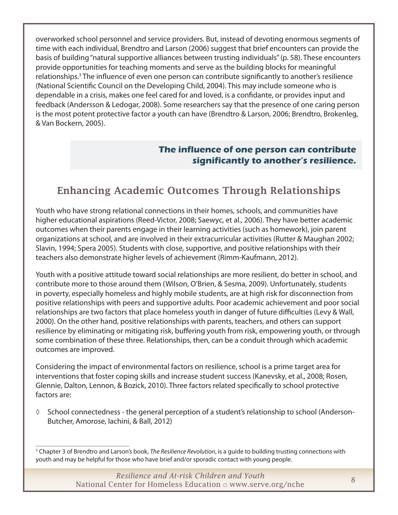<span id="page-7-0"></span>overworked school personnel and service providers. But, instead of devoting enormous segments of time with each individual, Brendtro and Larson (2006) suggest that brief encounters can provide the basis of building "natural supportive alliances between trusting individuals" (p. 58). These encounters provide opportunities for teaching moments and serve as the building blocks for meaningful relationships.<sup>3</sup> The influence of even one person can contribute significantly to another's resilience (National Scientific Council on the Developing Child, 2004). This may include someone who is dependable in a crisis, makes one feel cared for and loved, is a confidante, or provides input and feedback (Andersson & Ledogar, 2008). Some researchers say that the presence of one caring person is the most potent protective factor a youth can have (Brendtro & Larson, 2006; Brendtro, Brokenleg, & Van Bockern, 2005).

#### **The influence of one person can contribute significantly to another's resilience.**

## Enhancing Academic Outcomes Through Relationships

Youth who have strong relational connections in their homes, schools, and communities have higher educational aspirations (Reed-Victor, 2008; Saewyc, et al., 2006). They have better academic outcomes when their parents engage in their learning activities (such as homework), join parent organizations at school, and are involved in their extracurricular activities (Rutter & Maughan 2002; Slavin, 1994; Spera 2005). Students with close, supportive, and positive relationships with their teachers also demonstrate higher levels of achievement (Rimm-Kaufmann, 2012).

Youth with a positive attitude toward social relationships are more resilient, do better in school, and contribute more to those around them (Wilson, O'Brien, & Sesma, 2009). Unfortunately, students in poverty, especially homeless and highly mobile students, are at high risk for disconnection from positive relationships with peers and supportive adults. Poor academic achievement and poor social relationships are two factors that place homeless youth in danger of future difficulties (Levy & Wall, 2000). On the other hand, positive relationships with parents, teachers, and others can support resilience by eliminating or mitigating risk, buffering youth from risk, empowering youth, or through some combination of these three. Relationships, then, can be a conduit through which academic outcomes are improved.

Considering the impact of environmental factors on resilience, school is a prime target area for interventions that foster coping skills and increase student success (Kanevsky, et al., 2008; Rosen, Glennie, Dalton, Lennon, & Bozick, 2010). Three factors related specifically to school protective factors are:

◊ School connectedness - the general perception of a student's relationship to school (Anderson-Butcher, Amorose, Iachini, & Ball, 2012)

<sup>3</sup> Chapter 3 of Brendtro and Larson's book, *The Resilience Revolution*, is a guide to building trusting connections with youth and may be helpful for those who have brief and/or sporadic contact with young people.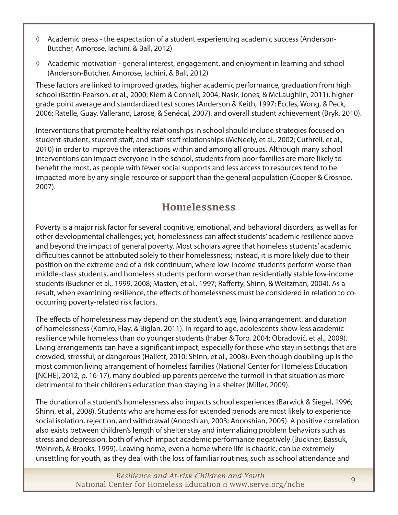- <span id="page-8-0"></span>◊ Academic press - the expectation of a student experiencing academic success (Anderson-Butcher, Amorose, Iachini, & Ball, 2012)
- ◊ Academic motivation general interest, engagement, and enjoyment in learning and school (Anderson-Butcher, Amorose, Iachini, & Ball, 2012)

These factors are linked to improved grades, higher academic performance, graduation from high school (Battin-Pearson, et al., 2000; Klem & Connell, 2004; Nasir, Jones, & McLaughlin, 2011), higher grade point average and standardized test scores (Anderson & Keith, 1997; Eccles, Wong, & Peck, 2006; Ratelle, Guay, Vallerand, Larose, & Senécal, 2007), and overall student achievement (Bryk, 2010).

Interventions that promote healthy relationships in school should include strategies focused on student-student, student-staff, and staff-staff relationships (McNeely, et al., 2002; Cuthrell, et al., 2010) in order to improve the interactions within and among all groups. Although many school interventions can impact everyone in the school, students from poor families are more likely to benefit the most, as people with fewer social supports and less access to resources tend to be impacted more by any single resource or support than the general population (Cooper & Crosnoe, 2007).

#### Homelessness

Poverty is a major risk factor for several cognitive, emotional, and behavioral disorders, as well as for other developmental challenges; yet, homelessness can affect students' academic resilience above and beyond the impact of general poverty. Most scholars agree that homeless students' academic difficulties cannot be attributed solely to their homelessness; instead, it is more likely due to their position on the extreme end of a risk continuum, where low-income students perform worse than middle-class students, and homeless students perform worse than residentially stable low-income students (Buckner et al., 1999, 2008; Masten, et al., 1997; Rafferty, Shinn, & Weitzman, 2004). As a result, when examining resilience, the effects of homelessness must be considered in relation to cooccurring poverty-related risk factors.

The effects of homelessness may depend on the student's age, living arrangement, and duration of homelessness (Komro, Flay, & Biglan, 2011). In regard to age, adolescents show less academic resilience while homeless than do younger students (Haber & Toro, 2004; Obradović, et al., 2009). Living arrangements can have a significant impact, especially for those who stay in settings that are crowded, stressful, or dangerous (Hallett, 2010; Shinn, et al., 2008). Even though doubling up is the most common living arrangement of homeless families (National Center for Homeless Education [NCHE], 2012, p. 16-17), many doubled-up parents perceive the turmoil in that situation as more detrimental to their children's education than staying in a shelter (Miller, 2009).

The duration of a student's homelessness also impacts school experiences (Barwick & Siegel, 1996; Shinn, et al., 2008). Students who are homeless for extended periods are most likely to experience social isolation, rejection, and withdrawal (Anooshian, 2003; Anooshian, 2005). A positive correlation also exists between children's length of shelter stay and internalizing problem behaviors such as stress and depression, both of which impact academic performance negatively (Buckner, Bassuk, Weinreb, & Brooks, 1999). Leaving home, even a home where life is chaotic, can be extremely unsettling for youth, as they deal with the loss of familiar routines, such as school attendance and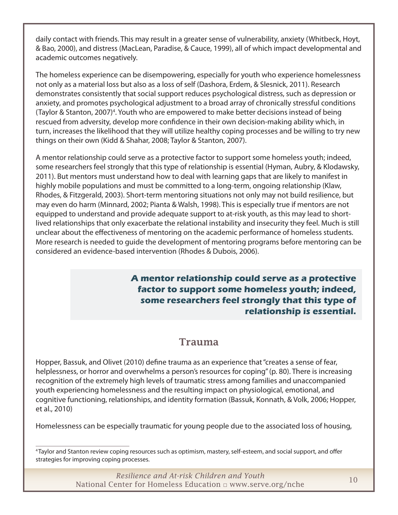<span id="page-9-0"></span>daily contact with friends. This may result in a greater sense of vulnerability, anxiety (Whitbeck, Hoyt, & Bao, 2000), and distress (MacLean, Paradise, & Cauce, 1999), all of which impact developmental and academic outcomes negatively.

The homeless experience can be disempowering, especially for youth who experience homelessness not only as a material loss but also as a loss of self (Dashora, Erdem, & Slesnick, 2011). Research demonstrates consistently that social support reduces psychological distress, such as depression or anxiety, and promotes psychological adjustment to a broad array of chronically stressful conditions (Taylor & Stanton, 2007)<sup>4</sup>. Youth who are empowered to make better decisions instead of being rescued from adversity, develop more confidence in their own decision-making ability which, in turn, increases the likelihood that they will utilize healthy coping processes and be willing to try new things on their own (Kidd & Shahar, 2008; Taylor & Stanton, 2007).

A mentor relationship could serve as a protective factor to support some homeless youth; indeed, some researchers feel strongly that this type of relationship is essential (Hyman, Aubry, & Klodawsky, 2011). But mentors must understand how to deal with learning gaps that are likely to manifest in highly mobile populations and must be committed to a long-term, ongoing relationship (Klaw, Rhodes, & Fitzgerald, 2003). Short-term mentoring situations not only may not build resilience, but may even do harm (Minnard, 2002; Pianta & Walsh, 1998). This is especially true if mentors are not equipped to understand and provide adequate support to at-risk youth, as this may lead to shortlived relationships that only exacerbate the relational instability and insecurity they feel. Much is still unclear about the effectiveness of mentoring on the academic performance of homeless students. More research is needed to guide the development of mentoring programs before mentoring can be considered an evidence-based intervention (Rhodes & Dubois, 2006).

> **A mentor relationship could serve as a protective factor to support some homeless youth; indeed, some researchers feel strongly that this type of relationship is essential.**

#### Trauma

Hopper, Bassuk, and Olivet (2010) define trauma as an experience that "creates a sense of fear, helplessness, or horror and overwhelms a person's resources for coping" (p. 80). There is increasing recognition of the extremely high levels of traumatic stress among families and unaccompanied youth experiencing homelessness and the resulting impact on physiological, emotional, and cognitive functioning, relationships, and identity formation (Bassuk, Konnath, & Volk, 2006; Hopper, et al., 2010)

Homelessness can be especially traumatic for young people due to the associated loss of housing,

<sup>4</sup> Taylor and Stanton review coping resources such as optimism, mastery, self-esteem, and social support, and offer strategies for improving coping processes.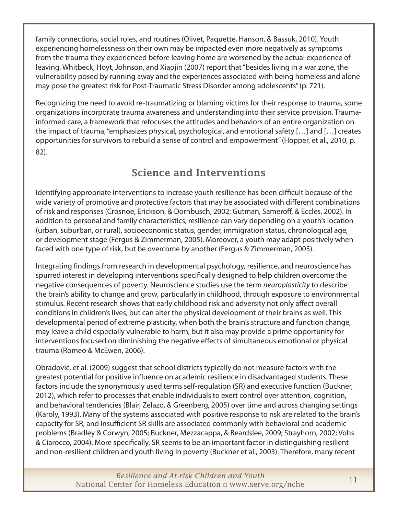<span id="page-10-0"></span>family connections, social roles, and routines (Olivet, Paquette, Hanson, & Bassuk, 2010). Youth experiencing homelessness on their own may be impacted even more negatively as symptoms from the trauma they experienced before leaving home are worsened by the actual experience of leaving. Whitbeck, Hoyt, Johnson, and Xiaojin (2007) report that "besides living in a war zone, the vulnerability posed by running away and the experiences associated with being homeless and alone may pose the greatest risk for Post-Traumatic Stress Disorder among adolescents" (p. 721).

Recognizing the need to avoid re-traumatizing or blaming victims for their response to trauma, some organizations incorporate trauma awareness and understanding into their service provision. Traumainformed care, a framework that refocuses the attitudes and behaviors of an entire organization on the impact of trauma, "emphasizes physical, psychological, and emotional safety […] and […] creates opportunities for survivors to rebuild a sense of control and empowerment" (Hopper, et al., 2010, p. 82).

#### Science and Interventions

Identifying appropriate interventions to increase youth resilience has been difficult because of the wide variety of promotive and protective factors that may be associated with different combinations of risk and responses (Crosnoe, Erickson, & Dornbusch, 2002; Gutman, Sameroff, & Eccles, 2002). In addition to personal and family characteristics, resilience can vary depending on a youth's location (urban, suburban, or rural), socioeconomic status, gender, immigration status, chronological age, or development stage (Fergus & Zimmerman, 2005). Moreover, a youth may adapt positively when faced with one type of risk, but be overcome by another (Fergus & Zimmerman, 2005).

Integrating findings from research in developmental psychology, resilience, and neuroscience has spurred interest in developing interventions specifically designed to help children overcome the negative consequences of poverty. Neuroscience studies use the term *neuroplasticity* to describe the brain's ability to change and grow, particularly in childhood, through exposure to environmental stimulus. Recent research shows that early childhood risk and adversity not only affect overall conditions in children's lives, but can alter the physical development of their brains as well. This developmental period of extreme plasticity, when both the brain's structure and function change, may leave a child especially vulnerable to harm, but it also may provide a prime opportunity for interventions focused on diminishing the negative effects of simultaneous emotional or physical trauma (Romeo & McEwen, 2006).

Obradović, et al. (2009) suggest that school districts typically do not measure factors with the greatest potential for positive influence on academic resilience in disadvantaged students. These factors include the synonymously used terms self-regulation (SR) and executive function (Buckner, 2012), which refer to processes that enable individuals to exert control over attention, cognition, and behavioral tendencies (Blair, Zelazo, & Greenberg, 2005) over time and across changing settings (Karoly, 1993). Many of the systems associated with positive response to risk are related to the brain's capacity for SR; and insufficient SR skills are associated commonly with behavioral and academic problems (Bradley & Corwyn, 2005; Buckner, Mezzacappa, & Beardslee, 2009; Strayhorn, 2002; Vohs & Ciarocco, 2004). More specifically, SR seems to be an important factor in distinguishing resilient and non-resilient children and youth living in poverty (Buckner et al., 2003). Therefore, many recent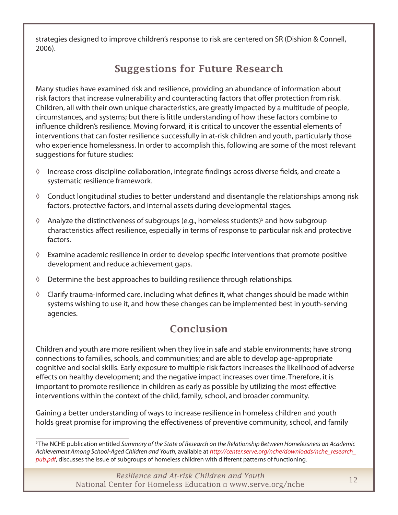<span id="page-11-0"></span>strategies designed to improve children's response to risk are centered on SR (Dishion & Connell, 2006).

## Suggestions for Future Research

Many studies have examined risk and resilience, providing an abundance of information about risk factors that increase vulnerability and counteracting factors that offer protection from risk. Children, all with their own unique characteristics, are greatly impacted by a multitude of people, circumstances, and systems; but there is little understanding of how these factors combine to influence children's resilience. Moving forward, it is critical to uncover the essential elements of interventions that can foster resilience successfully in at-risk children and youth, particularly those who experience homelessness. In order to accomplish this, following are some of the most relevant suggestions for future studies:

- ◊ Increase cross-discipline collaboration, integrate findings across diverse fields, and create a systematic resilience framework.
- ◊ Conduct longitudinal studies to better understand and disentangle the relationships among risk factors, protective factors, and internal assets during developmental stages.
- ↑ Analyze the distinctiveness of subgroups (e.g., homeless students)<sup>5</sup> and how subgroup characteristics affect resilience, especially in terms of response to particular risk and protective factors.
- $\Diamond$  Examine academic resilience in order to develop specific interventions that promote positive development and reduce achievement gaps.
- ◊ Determine the best approaches to building resilience through relationships.
- $\Diamond$  Clarify trauma-informed care, including what defines it, what changes should be made within systems wishing to use it, and how these changes can be implemented best in youth-serving agencies.

#### Conclusion

Children and youth are more resilient when they live in safe and stable environments; have strong connections to families, schools, and communities; and are able to develop age-appropriate cognitive and social skills. Early exposure to multiple risk factors increases the likelihood of adverse effects on healthy development; and the negative impact increases over time. Therefore, it is important to promote resilience in children as early as possible by utilizing the most effective interventions within the context of the child, family, school, and broader community.

Gaining a better understanding of ways to increase resilience in homeless children and youth holds great promise for improving the effectiveness of preventive community, school, and family

5 The NCHE publication entitled *Summary of the State of Research on the Relationship Between Homelessness an Academic Achievement Among School-Aged Children and Youth*, available at *[http://center.serve.org/nche/downloads/nche\\_research\\_](http://center.serve.org/nche/downloads/nche_research_pub.pdf) [pub.pdf](http://center.serve.org/nche/downloads/nche_research_pub.pdf)*, discusses the issue of subgroups of homeless children with different patterns of functioning.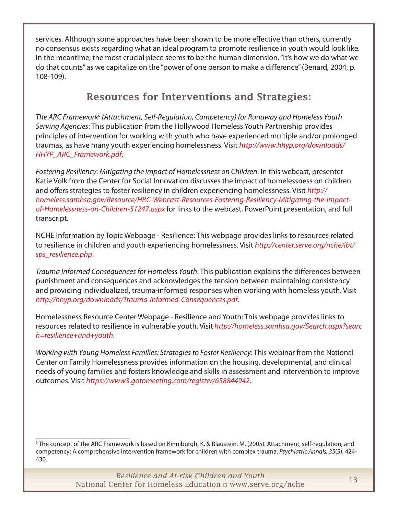<span id="page-12-0"></span>services. Although some approaches have been shown to be more effective than others, currently no consensus exists regarding what an ideal program to promote resilience in youth would look like. In the meantime, the most crucial piece seems to be the human dimension. "It's how we do what we do that counts" as we capitalize on the "power of one person to make a difference" (Benard, 2004, p. 108-109).

## Resources for Interventions and Strategies:

The ARC Framework<sup>6</sup> (Attachment, Self-Regulation, Competency) for Runaway and Homeless Youth *Serving Agencies*: This publication from the Hollywood Homeless Youth Partnership provides principles of intervention for working with youth who have experienced multiple and/or prolonged traumas, as have many youth experiencing homelessness. Visit *[http://www.hhyp.org/downloads/](http://www.hhyp.org/downloads/HHYP_ARC_Framework.pdf) [HHYP\\_ARC\\_Framework.pdf](http://www.hhyp.org/downloads/HHYP_ARC_Framework.pdf)*.

*Fostering Resiliency: Mitigating the Impact of Homelessness on Children*: In this webcast, presenter Katie Volk from the Center for Social Innovation discusses the impact of homelessness on children and offers strategies to foster resiliency in children experiencing homelessness. Visit *[http://](http://homeless.samhsa.gov/Resource/HRC-Webcast-Resources-Fostering-Resiliency-Mitigating-the-Impact-of-Homelessness-on-Children-51247.aspx  ) [homeless.samhsa.gov/Resource/HRC-Webcast-Resources-Fostering-Resiliency-Mitigating-the-Impact](http://homeless.samhsa.gov/Resource/HRC-Webcast-Resources-Fostering-Resiliency-Mitigating-the-Impact-of-Homelessness-on-Children-51247.aspx  )[of-Homelessness-on-Children-51247.aspx](http://homeless.samhsa.gov/Resource/HRC-Webcast-Resources-Fostering-Resiliency-Mitigating-the-Impact-of-Homelessness-on-Children-51247.aspx  )* for links to the webcast, PowerPoint presentation, and full transcript.

NCHE Information by Topic Webpage - Resilience: This webpage provides links to resources related to resilience in children and youth experiencing homelessness. Visit *[http://center.serve.org/nche/ibt/](http://center.serve.org/nche/ibt/sps_resilience.php) [sps\\_resilience.php](http://center.serve.org/nche/ibt/sps_resilience.php)*.

*Trauma Informed Consequences for Homeless Youth*: This publication explains the differences between punishment and consequences and acknowledges the tension between maintaining consistency and providing individualized, trauma-informed responses when working with homeless youth. Visit *<http://hhyp.org/downloads/Trauma-Informed-Consequences.pdf>*.

Homelessness Resource Center Webpage - Resilience and Youth: This webpage provides links to resources related to resilience in vulnerable youth. Visit *[http://homeless.samhsa.gov/Search.aspx?searc]( http://homeless.samhsa.gov/Search.aspx?search=resilience+and+youth) [h=resilience+and+youth]( http://homeless.samhsa.gov/Search.aspx?search=resilience+and+youth)*.

*Working with Young Homeless Families: Strategies to Foster Resiliency*: This webinar from the National Center on Family Homelessness provides information on the housing, developmental, and clinical needs of young families and fosters knowledge and skills in assessment and intervention to improve outcomes. Visit *<https://www3.gotomeeting.com/register/658844942>*.

<sup>6</sup> The concept of the ARC Framework is based on Kinniburgh, K. & Blaustein, M. (2005). Attachment, self-regulation, and competency: A comprehensive intervention framework for children with complex trauma. *Psychiatric Annals, 35*(5), 424- 430.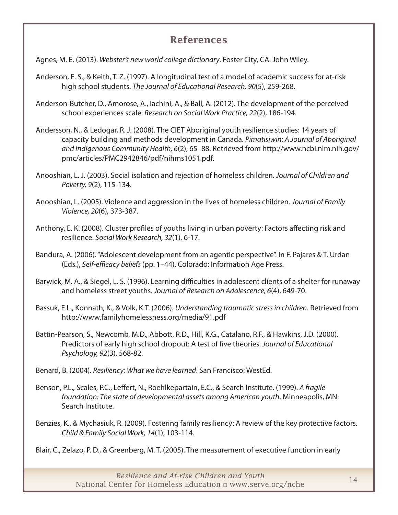#### References

<span id="page-13-0"></span>Agnes, M. E. (2013). *Webster's new world college dictionary*. Foster City, CA: John Wiley.

- Anderson, E. S., & Keith, T. Z. (1997). A longitudinal test of a model of academic success for at-risk high school students. *The Journal of Educational Research, 90*(5), 259-268.
- Anderson-Butcher, D., Amorose, A., Iachini, A., & Ball, A. (2012). The development of the perceived school experiences scale. *Research on Social Work Practice, 22*(2), 186-194.
- Andersson, N., & Ledogar, R. J. (2008). The CIET Aboriginal youth resilience studies: 14 years of capacity building and methods development in Canada. *Pimatisiwin: A Journal of Aboriginal and Indigenous Community Health, 6*(2), 65–88. Retrieved from [http://www.ncbi.nlm.nih.gov/](ttp://www.ncbi.nlm.nih.gov/pmc/articles/PMC2942846/pdf/nihms1051.pdf  ) [pmc/articles/PMC2942846/pdf/nihms1051.pdf](ttp://www.ncbi.nlm.nih.gov/pmc/articles/PMC2942846/pdf/nihms1051.pdf  ).
- Anooshian, L. J. (2003). Social isolation and rejection of homeless children. *Journal of Children and Poverty, 9*(2), 115-134.
- Anooshian, L. (2005). Violence and aggression in the lives of homeless children. *Journal of Family Violence, 20*(6), 373-387.
- Anthony, E. K. (2008). Cluster profiles of youths living in urban poverty: Factors affecting risk and resilience. *Social Work Research, 32*(1), 6-17.
- Bandura, A. (2006). "Adolescent development from an agentic perspective". In F. Pajares & T. Urdan (Eds.), *Self‐efficacy beliefs* (pp. 1–44). Colorado: Information Age Press.
- Barwick, M. A., & Siegel, L. S. (1996). Learning difficulties in adolescent clients of a shelter for runaway and homeless street youths. *Journal of Research on Adolescence, 6*(4), 649-70.
- Bassuk, E.L., Konnath, K., & Volk, K.T. (2006). *Understanding traumatic stress in children*. Retrieved from [http://www.familyhomelessness.org/media/91.pdf]( http://www.familyhomelessness.org/media/91.pdf )
- Battin-Pearson, S., Newcomb, M.D., Abbott, R.D., Hill, K.G., Catalano, R.F., & Hawkins, J.D. (2000). Predictors of early high school dropout: A test of five theories. *Journal of Educational Psychology, 92*(3), 568-82.
- Benard, B. (2004). *Resiliency: What we have learned*. San Francisco: WestEd.
- Benson, P.L., Scales, P.C., Leffert, N., Roehlkepartain, E.C., & Search Institute. (1999). *A fragile foundation: The state of developmental assets among American youth*. Minneapolis, MN: Search Institute.
- Benzies, K., & Mychasiuk, R. (2009). Fostering family resiliency: A review of the key protective factors. *Child & Family Social Work, 14*(1), 103-114.
- Blair, C., Zelazo, P. D., & Greenberg, M. T. (2005). The measurement of executive function in early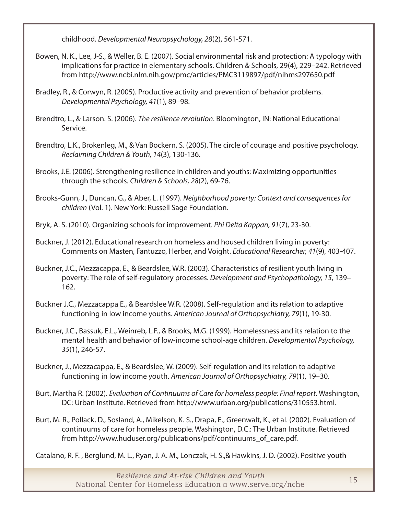childhood. *Developmental Neuropsychology, 28*(2), 561-571.

- Bowen, N. K., Lee, J-S., & Weller, B. E. (2007). Social environmental risk and protection: A typology with implications for practice in elementary schools. Children & Schools, 29(4), 229–242. Retrieved from [http://www.ncbi.nlm.nih.gov/pmc/articles/PMC3119897/pdf/nihms297650.pdf](http://www.ncbi.nlm.nih.gov/pmc/articles/PMC3119897/pdf/nihms297650.pdf )
- Bradley, R., & Corwyn, R. (2005). Productive activity and prevention of behavior problems. *Developmental Psychology, 41*(1), 89–98.
- Brendtro, L., & Larson. S. (2006). *The resilience revolution*. Bloomington, IN: National Educational Service.
- Brendtro, L.K., Brokenleg, M., & Van Bockern, S. (2005). The circle of courage and positive psychology. *Reclaiming Children & Youth, 14*(3), 130-136.
- Brooks, J.E. (2006). Strengthening resilience in children and youths: Maximizing opportunities through the schools. *Children & Schools, 28*(2), 69-76.
- Brooks-Gunn, J., Duncan, G., & Aber, L. (1997). *Neighborhood poverty: Context and consequences for children* (Vol. 1). New York: Russell Sage Foundation.

Bryk, A. S. (2010). Organizing schools for improvement. *Phi Delta Kappan, 91*(7), 23-30.

- Buckner, J. (2012). Educational research on homeless and housed children living in poverty: Comments on Masten, Fantuzzo, Herber, and Voight. *Educational Researcher, 41*(9), 403-407.
- Buckner, J.C., Mezzacappa, E., & Beardslee, W.R. (2003). Characteristics of resilient youth living in poverty: The role of self-regulatory processes. *Development and Psychopathology, 15*, 139– 162.
- Buckner J.C., Mezzacappa E., & Beardslee W.R. (2008). Self-regulation and its relation to adaptive functioning in low income youths. *American Journal of Orthopsychiatry, 79*(1), 19-30.
- Buckner, J.C., Bassuk, E.L., Weinreb, L.F., & Brooks, M.G. (1999). Homelessness and its relation to the mental health and behavior of low-income school-age children. *Developmental Psychology, 35*(1), 246-57.
- Buckner, J., Mezzacappa, E., & Beardslee, W. (2009). Self-regulation and its relation to adaptive functioning in low income youth. *American Journal of Orthopsychiatry, 79*(1), 19–30.
- Burt, Martha R. (2002). *Evaluation of Continuums of Care for homeless people: Final report*. Washington, DC: Urban Institute. Retrieved from [http://www.urban.org/publications/310553.html.](http://www.urban.org/publications/310553.html)
- Burt, M. R., Pollack, D., Sosland, A., Mikelson, K. S., Drapa, E., Greenwalt, K., et al. (2002). Evaluation of continuums of care for homeless people. Washington, D.C.: The Urban Institute. Retrieved from [http://www.huduser.org/publications/pdf/continuums\\_of\\_care.pdf.](http://www.huduser.org/publications/pdf/continuums_of_care.pdf)

Catalano, R. F. , Berglund, M. L., Ryan, J. A. M., Lonczak, H. S.,& Hawkins, J. D. (2002). Positive youth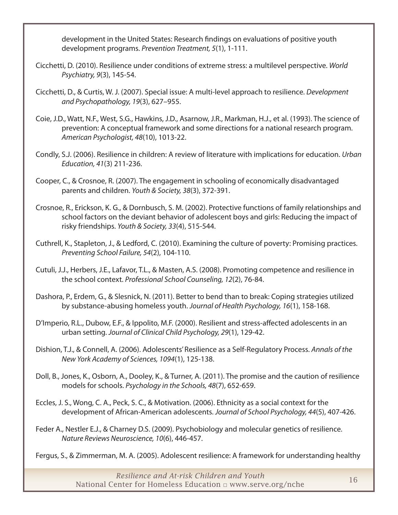development in the United States: Research findings on evaluations of positive youth development programs. *Prevention Treatment, 5*(1), 1-111.

- Cicchetti, D. (2010). Resilience under conditions of extreme stress: a multilevel perspective. *World Psychiatry, 9*(3), 145-54.
- Cicchetti, D., & Curtis, W. J. (2007). Special issue: A multi-level approach to resilience. *Development and Psychopathology, 19*(3), 627–955.
- Coie, J.D., Watt, N.F., West, S.G., Hawkins, J.D., Asarnow, J.R., Markman, H.J., et al. (1993). The science of prevention: A conceptual framework and some directions for a national research program. *American Psychologist, 48*(10), 1013-22.
- Condly, S.J. (2006). Resilience in children: A review of literature with implications for education. *Urban Education, 41*(3) 211-236.
- Cooper, C., & Crosnoe, R. (2007). The engagement in schooling of economically disadvantaged parents and children. *Youth & Society, 38*(3), 372-391.
- Crosnoe, R., Erickson, K. G., & Dornbusch, S. M. (2002). Protective functions of family relationships and school factors on the deviant behavior of adolescent boys and girls: Reducing the impact of risky friendships. *Youth & Society, 33*(4), 515-544.
- Cuthrell, K., Stapleton, J., & Ledford, C. (2010). Examining the culture of poverty: Promising practices. *Preventing School Failure, 54*(2), 104-110.
- Cutuli, J.J., Herbers, J.E., Lafavor, T.L., & Masten, A.S. (2008). Promoting competence and resilience in the school context. *Professional School Counseling, 12*(2), 76-84.
- Dashora, P., Erdem, G., & Slesnick, N. (2011). Better to bend than to break: Coping strategies utilized by substance-abusing homeless youth. *Journal of Health Psychology, 16*(1), 158-168.
- D'Imperio, R.L., Dubow, E.F., & Ippolito, M.F. (2000). Resilient and stress-affected adolescents in an urban setting. *Journal of Clinical Child Psychology, 29*(1), 129-42.
- Dishion, T.J., & Connell, A. (2006). Adolescents' Resilience as a Self-Regulatory Process. *Annals of the New York Academy of Sciences, 1094*(1), 125-138.
- Doll, B., Jones, K., Osborn, A., Dooley, K., & Turner, A. (2011). The promise and the caution of resilience models for schools. *Psychology in the Schools, 48*(7), 652-659.
- Eccles, J. S., Wong, C. A., Peck, S. C., & Motivation. (2006). Ethnicity as a social context for the development of African-American adolescents. *Journal of School Psychology, 44*(5), 407-426.
- Feder A., Nestler E.J., & Charney D.S. (2009). Psychobiology and molecular genetics of resilience. *Nature Reviews Neuroscience, 10*(6), 446-457.
- Fergus, S., & Zimmerman, M. A. (2005). Adolescent resilience: A framework for understanding healthy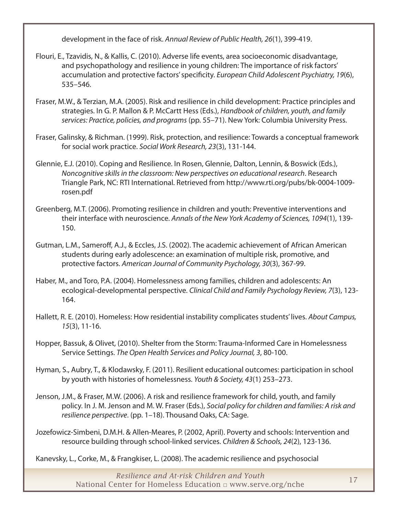development in the face of risk. *Annual Review of Public Health, 26*(1), 399-419.

- Flouri, E., Tzavidis, N., & Kallis, C. (2010). Adverse life events, area socioeconomic disadvantage, and psychopathology and resilience in young children: The importance of risk factors' accumulation and protective factors' specificity. *European Child Adolescent Psychiatry, 19*(6), 535–546.
- Fraser, M.W., & Terzian, M.A. (2005). Risk and resilience in child development: Practice principles and strategies. In G. P. Mallon & P. McCartt Hess (Eds.), *Handbook of children, youth, and family services: Practice, policies, and programs* (pp. 55–71). New York: Columbia University Press.
- Fraser, Galinsky, & Richman. (1999). Risk, protection, and resilience: Towards a conceptual framework for social work practice. *Social Work Research, 23*(3), 131-144.
- Glennie, E.J. (2010). Coping and Resilience. In Rosen, Glennie, Dalton, Lennin, & Boswick (Eds.), *Noncognitive skills in the classroom: New perspectives on educational research*. Research Triangle Park, NC: RTI International. Retrieved from [http://www.rti.org/pubs/bk-0004-1009](http://www.rti.org/pubs/bk-0004-1009-rosen.pdf) [rosen.pdf](http://www.rti.org/pubs/bk-0004-1009-rosen.pdf)
- Greenberg, M.T. (2006). Promoting resilience in children and youth: Preventive interventions and their interface with neuroscience. *Annals of the New York Academy of Sciences, 1094*(1), 139- 150.
- Gutman, L.M., Sameroff, A.J., & Eccles, J.S. (2002). The academic achievement of African American students during early adolescence: an examination of multiple risk, promotive, and protective factors. *American Journal of Community Psychology, 30*(3), 367-99.
- Haber, M., and Toro, P.A. (2004). Homelessness among families, children and adolescents: An ecological-developmental perspective. *Clinical Child and Family Psychology Review, 7*(3), 123- 164.
- Hallett, R. E. (2010). Homeless: How residential instability complicates students' lives. *About Campus, 15*(3), 11-16.
- Hopper, Bassuk, & Olivet, (2010). Shelter from the Storm: Trauma-Informed Care in Homelessness Service Settings. *The Open Health Services and Policy Journal, 3*, 80-100.
- Hyman, S., Aubry, T., & Klodawsky, F. (2011). Resilient educational outcomes: participation in school by youth with histories of homelessness. *Youth & Society, 43*(1) 253–273.
- Jenson, J.M., & Fraser, M.W. (2006). A risk and resilience framework for child, youth, and family policy. In J. M. Jenson and M. W. Fraser (Eds.), *Social policy for children and families: A risk and resilience perspective*. (pp. 1–18). Thousand Oaks, CA: Sage.
- Jozefowicz-Simbeni, D.M.H. & Allen-Meares, P. (2002, April). Poverty and schools: Intervention and resource building through school-linked services. *Children & Schools, 24*(2), 123-136.
- Kanevsky, L., Corke, M., & Frangkiser, L. (2008). The academic resilience and psychosocial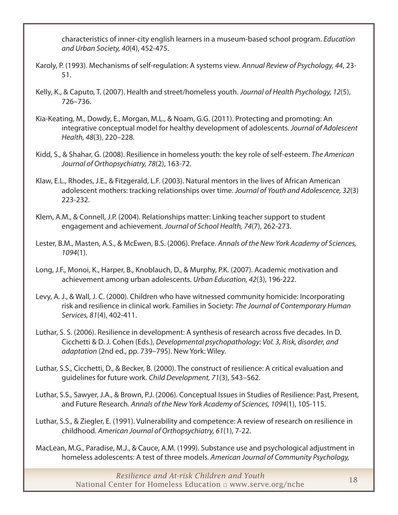characteristics of inner-city english learners in a museum-based school program. *Education and Urban Society, 40*(4), 452-475.

- Karoly, P. (1993). Mechanisms of self-regulation: A systems view. *Annual Review of Psychology, 44*, 23- 51.
- Kelly, K., & Caputo, T. (2007). Health and street/homeless youth. *Journal of Health Psychology, 12*(5), 726–736.
- Kia-Keating, M., Dowdy, E., Morgan, M.L., & Noam, G.G. (2011). Protecting and promoting: An integrative conceptual model for healthy development of adolescents. *Journal of Adolescent Health, 48*(3), 220–228.
- Kidd, S., & Shahar, G. (2008). Resilience in homeless youth: the key role of self-esteem. *The American Journal of Orthopsychiatry, 78*(2), 163-72.
- Klaw, E.L., Rhodes, J.E., & Fitzgerald, L.F. (2003). Natural mentors in the lives of African American adolescent mothers: tracking relationships over time. *Journal of Youth and Adolescence, 32*(3) 223-232.
- Klem, A.M., & Connell, J.P. (2004). Relationships matter: Linking teacher support to student engagement and achievement. *Journal of School Health, 74*(7), 262-273.
- Lester, B.M., Masten, A.S., & McEwen, B.S. (2006). Preface. *Annals of the New York Academy of Sciences, 1094*(1).
- Long, J.F., Monoi, K., Harper, B., Knoblauch, D., & Murphy, P.K. (2007). Academic motivation and achievement among urban adolescents. *Urban Education, 42*(3), 196-222.
- Levy, A. J., & Wall, J. C. (2000). Children who have witnessed community homicide: Incorporating risk and resilience in clinical work. Families in Society: *The Journal of Contemporary Human Services, 81*(4), 402-411.
- Luthar, S. S. (2006). Resilience in development: A synthesis of research across five decades. In D. Cicchetti & D. J. Cohen (Eds.), *Developmental psychopathology: Vol. 3, Risk, disorder, and adaptation* (2nd ed., pp. 739–795). New York: Wiley.
- Luthar, S.S., Cicchetti, D., & Becker, B. (2000). The construct of resilience: A critical evaluation and guidelines for future work. *Child Development, 71*(3), 543–562.
- Luthar, S.S., Sawyer, J.A., & Brown, P.J. (2006). Conceptual Issues in Studies of Resilience: Past, Present, and Future Research. *Annals of the New York Academy of Sciences, 1094*(1), 105-115.
- Luthar, S.S., & Ziegler, E. (1991). Vulnerability and competence: A review of research on resilience in childhood. *American Journal of Orthopsychiatry, 61*(1), 7-22.
- MacLean, M.G., Paradise, M.J., & Cauce, A.M. (1999). Substance use and psychological adjustment in homeless adolescents: A test of three models. *American Journal of Community Psychology,*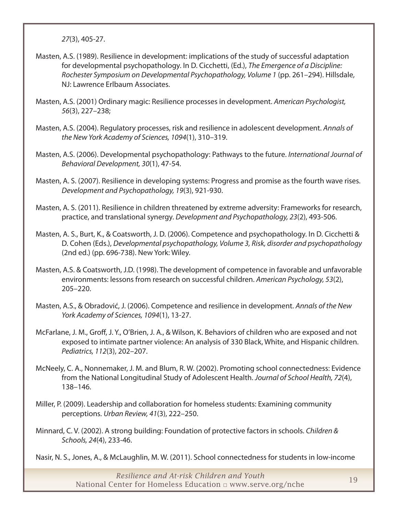*27*(3), 405-27.

- Masten, A.S. (1989). Resilience in development: implications of the study of successful adaptation for developmental psychopathology. In D. Cicchetti, (Ed.), *The Emergence of a Discipline: Rochester Symposium on Developmental Psychopathology, Volume 1* (pp. 261–294). Hillsdale, NJ: Lawrence Erlbaum Associates.
- Masten, A.S. (2001) Ordinary magic: Resilience processes in development. *American Psychologist, 56*(3), 227–238;
- Masten, A.S. (2004). Regulatory processes, risk and resilience in adolescent development. *Annals of the New York Academy of Sciences, 1094*(1), 310–319.
- Masten, A.S. (2006). Developmental psychopathology: Pathways to the future. *International Journal of Behavioral Development, 30*(1), 47-54.
- Masten, A. S. (2007). Resilience in developing systems: Progress and promise as the fourth wave rises. *Development and Psychopathology, 19*(3), 921-930.
- Masten, A. S. (2011). Resilience in children threatened by extreme adversity: Frameworks for research, practice, and translational synergy. *Development and Psychopathology, 23*(2), 493-506.
- Masten, A. S., Burt, K., & Coatsworth, J. D. (2006). Competence and psychopathology. In D. Cicchetti & D. Cohen (Eds.), *Developmental psychopathology, Volume 3, Risk, disorder and psychopathology* (2nd ed.) (pp. 696-738). New York: Wiley.
- Masten, A.S. & Coatsworth, J.D. (1998). The development of competence in favorable and unfavorable environments: lessons from research on successful children. *American Psychology, 53*(2), 205–220.
- Masten, A.S., & Obradović, J. (2006). Competence and resilience in development. *Annals of the New York Academy of Sciences, 1094*(1), 13-27.
- McFarlane, J. M., Groff, J. Y., O'Brien, J. A., & Wilson, K. Behaviors of children who are exposed and not exposed to intimate partner violence: An analysis of 330 Black, White, and Hispanic children. *Pediatrics, 112*(3), 202–207.
- McNeely, C. A., Nonnemaker, J. M. and Blum, R. W. (2002). Promoting school connectedness: Evidence from the National Longitudinal Study of Adolescent Health. *Journal of School Health, 72*(4), 138–146.
- Miller, P. (2009). Leadership and collaboration for homeless students: Examining community perceptions. *Urban Review, 41*(3), 222–250.
- Minnard, C. V. (2002). A strong building: Foundation of protective factors in schools. *Children & Schools, 24*(4), 233-46.
- Nasir, N. S., Jones, A., & McLaughlin, M. W. (2011). School connectedness for students in low-income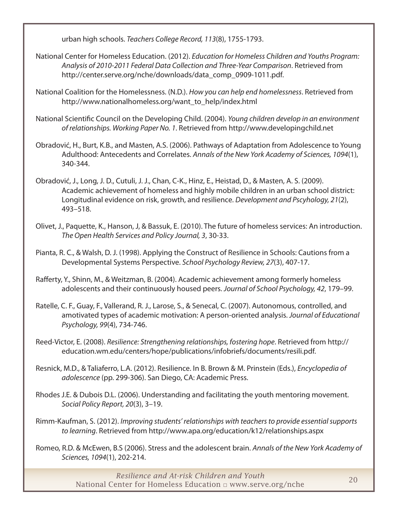urban high schools. *Teachers College Record, 113*(8), 1755-1793.

- National Center for Homeless Education. (2012). *Education for Homeless Children and Youths Program: Analysis of 2010-2011 Federal Data Collection and Three-Year Comparison*. Retrieved from [http://center.serve.org/nche/downloads/data\\_comp\\_0909-1011.pdf](http://center.serve.org/nche/downloads/data_comp_0909-1011.pdf).
- National Coalition for the Homelessness. (N.D.). *How you can help end homelessness*. Retrieved from [http://www.nationalhomeless.org/want\\_to\\_help/index.html](http://www.nationalhomeless.org/want_to_help/index.html)
- National Scientific Council on the Developing Child. (2004). *Young children develop in an environment of relationships. Working Paper No. 1*. Retrieved from <http://www.developingchild.net>
- Obradović, H., Burt, K.B., and Masten, A.S. (2006). Pathways of Adaptation from Adolescence to Young Adulthood: Antecedents and Correlates. *Annals of the New York Academy of Sciences, 1094*(1), 340-344.
- Obradović, J., Long, J. D., Cutuli, J. J., Chan, C-K., Hinz, E., Heistad, D., & Masten, A. S. (2009). Academic achievement of homeless and highly mobile children in an urban school district: Longitudinal evidence on risk, growth, and resilience. *Development and Pscyhology, 21*(2), 493–518.
- Olivet, J., Paquette, K., Hanson, J, & Bassuk, E. (2010). The future of homeless services: An introduction. *The Open Health Services and Policy Journal, 3*, 30-33.
- Pianta, R. C., & Walsh, D. J. (1998). Applying the Construct of Resilience in Schools: Cautions from a Developmental Systems Perspective. *School Psychology Review, 27*(3), 407-17.
- Rafferty, Y., Shinn, M., & Weitzman, B. (2004). Academic achievement among formerly homeless adolescents and their continuously housed peers. *Journal of School Psychology, 42*, 179–99.
- Ratelle, C. F., Guay, F., Vallerand, R. J., Larose, S., & Senecal, C. (2007). Autonomous, controlled, and amotivated types of academic motivation: A person-oriented analysis. *Journal of Educational Psychology, 99*(4), 734-746.
- Reed-Victor, E. (2008). *Resilience: Strengthening relationships, fostering hope*. Retrieved from [http://](http://education.wm.edu/centers/hope/publications/infobriefs/documents/resili.pdf) [education.wm.edu/centers/hope/publications/infobriefs/documents/resili.pdf.](http://education.wm.edu/centers/hope/publications/infobriefs/documents/resili.pdf)
- Resnick, M.D., & Taliaferro, L.A. (2012). Resilience. In B. Brown & M. Prinstein (Eds.), *Encyclopedia of adolescence* (pp. 299-306). San Diego, CA: Academic Press.
- Rhodes J.E. & Dubois D.L. (2006). Understanding and facilitating the youth mentoring movement. *Social Policy Report, 20*(3), 3–19.
- Rimm-Kaufman, S. (2012). *Improving students' relationships with teachers to provide essential supports to learning*. Retrieved from<http://www.apa.org/education/k12/relationships.aspx>
- Romeo, R.D. & McEwen, B.S (2006). Stress and the adolescent brain. *Annals of the New York Academy of Sciences, 1094*(1), 202-214.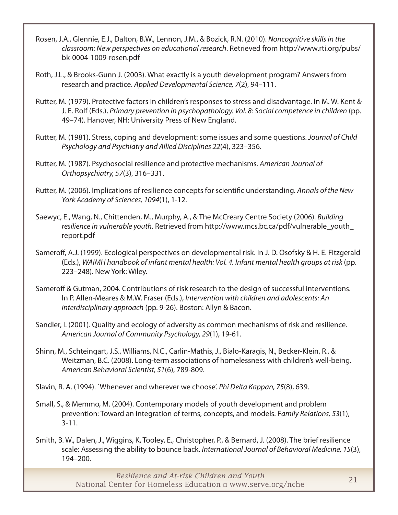- Rosen, J.A., Glennie, E.J., Dalton, B.W., Lennon, J.M., & Bozick, R.N. (2010). *Noncognitive skills in the classroom: New perspectives on educational research*. Retrieved from [http://www.rti.org/pubs/](http://www.rti.org/pubs/bk-0004-1009-rosen.pdf) [bk-0004-1009-rosen.pdf](http://www.rti.org/pubs/bk-0004-1009-rosen.pdf)
- Roth, J.L., & Brooks-Gunn J. (2003). What exactly is a youth development program? Answers from research and practice. *Applied Developmental Science, 7*(2), 94–111.
- Rutter, M. (1979). Protective factors in children's responses to stress and disadvantage. In M. W. Kent & J. E. Rolf (Eds.), *Primary prevention in psychopathology. Vol. 8: Social competence in children* (pp. 49–74). Hanover, NH: University Press of New England.
- Rutter, M. (1981). Stress, coping and development: some issues and some questions. *Journal of Child Psychology and Psychiatry and Allied Disciplines 22*(4), 323–356.
- Rutter, M. (1987). Psychosocial resilience and protective mechanisms. *American Journal of Orthopsychiatry, 57*(3), 316–331.
- Rutter, M. (2006). Implications of resilience concepts for scientific understanding. *Annals of the New York Academy of Sciences, 1094*(1), 1-12.
- Saewyc, E., Wang, N., Chittenden, M., Murphy, A., & The McCreary Centre Society (2006). *Building resilience in vulnerable youth*. Retrieved from [http://www.mcs.bc.ca/pdf/vulnerable\\_youth\\_](http://www.mcs.bc.ca/pdf/vulnerable_youth_report.pdf) [report.pdf](http://www.mcs.bc.ca/pdf/vulnerable_youth_report.pdf)
- Sameroff, A.J. (1999). Ecological perspectives on developmental risk. In J. D. Osofsky & H. E. Fitzgerald (Eds.), *WAIMH handbook of infant mental health: Vol. 4. Infant mental health groups at risk* (pp. 223–248). New York: Wiley.
- Sameroff & Gutman, 2004. Contributions of risk research to the design of successful interventions. In P. Allen-Meares & M.W. Fraser (Eds.), *Intervention with children and adolescents: An interdisciplinary approach* (pp. 9-26). Boston: Allyn & Bacon.
- Sandler, I. (2001). Quality and ecology of adversity as common mechanisms of risk and resilience. *American Journal of Community Psychology, 29*(1), 19-61.
- Shinn, M., Schteingart, J.S., Williams, N.C., Carlin-Mathis, J., Bialo-Karagis, N., Becker-Klein, R., & Weitzman, B.C. (2008). Long-term associations of homelessness with children's well-being. *American Behavioral Scientist, 51*(6), 789-809.
- Slavin, R. A. (1994). `Whenever and wherever we choose'. *Phi Delta Kappan, 75*(8), 639.
- Small, S., & Memmo, M. (2004). Contemporary models of youth development and problem prevention: Toward an integration of terms, concepts, and models. F*amily Relations, 53*(1), 3-11.
- Smith, B. W., Dalen, J., Wiggins, K, Tooley, E., Christopher, P., & Bernard, J. (2008). The brief resilience scale: Assessing the ability to bounce back. *International Journal of Behavioral Medicine, 15*(3), 194–200.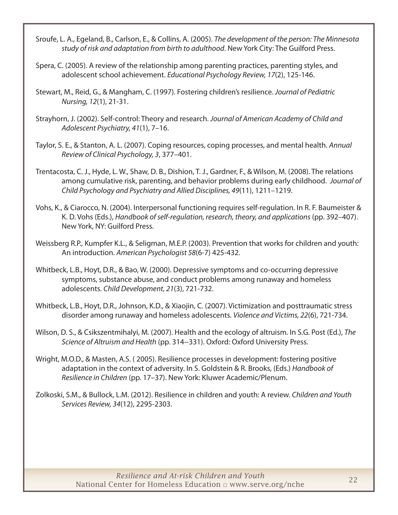- Sroufe, L. A., Egeland, B., Carlson, E., & Collins, A. (2005). *The development of the person: The Minnesota study of risk and adaptation from birth to adulthood*. New York City: The Guilford Press.
- Spera, C. (2005). A review of the relationship among parenting practices, parenting styles, and adolescent school achievement. *Educational Psychology Review, 17*(2), 125-146.
- Stewart, M., Reid, G., & Mangham, C. (1997). Fostering children's resilience. *Journal of Pediatric Nursing, 12*(1), 21-31.
- Strayhorn, J. (2002). Self-control: Theory and research. *Journal of American Academy of Child and Adolescent Psychiatry, 41*(1), 7–16.
- Taylor, S. E., & Stanton, A. L. (2007). Coping resources, coping processes, and mental health. *Annual Review of Clinical Psychology, 3*, 377–401.
- Trentacosta, C. J., Hyde, L. W., Shaw, D. B., Dishion, T. J., Gardner, F., & Wilson, M. (2008). The relations among cumulative risk, parenting, and behavior problems during early childhood. *Journal of Child Psychology and Psychiatry and Allied Disciplines, 49*(11), 1211–1219.
- Vohs, K., & Ciarocco, N. (2004). Interpersonal functioning requires self-regulation. In R. F. Baumeister & K. D. Vohs (Eds.), *Handbook of self-regulation, research, theory, and applications* (pp. 392–407). New York, NY: Guilford Press.
- Weissberg R.P., Kumpfer K.L., & Seligman, M.E.P. (2003). Prevention that works for children and youth: An introduction. *American Psychologist 58*(6-7) 425-432.
- Whitbeck, L.B., Hoyt, D.R., & Bao, W. (2000). Depressive symptoms and co-occurring depressive symptoms, substance abuse, and conduct problems among runaway and homeless adolescents. *Child Development, 21*(3), 721-732.
- Whitbeck, L.B., Hoyt, D.R., Johnson, K.D., & Xiaojin, C. (2007). Victimization and posttraumatic stress disorder among runaway and homeless adolescents. *Violence and Victims, 22*(6), 721-734.
- Wilson, D. S., & Csikszentmihalyi, M. (2007). Health and the ecology of altruism. In S.G. Post (Ed.), *The Science of Altruism and Health* (pp. 314−331). Oxford: Oxford University Press.
- Wright, M.O.D., & Masten, A.S. ( 2005). Resilience processes in development: fostering positive adaptation in the context of adversity. In S. Goldstein & R. Brooks, (Eds.) *Handbook of Resilience in Children* (pp. 17–37). New York: Kluwer Academic/Plenum.
- Zolkoski, S.M., & Bullock, L.M. (2012). Resilience in children and youth: A review. *Children and Youth Services Review, 34*(12), 2295-2303.